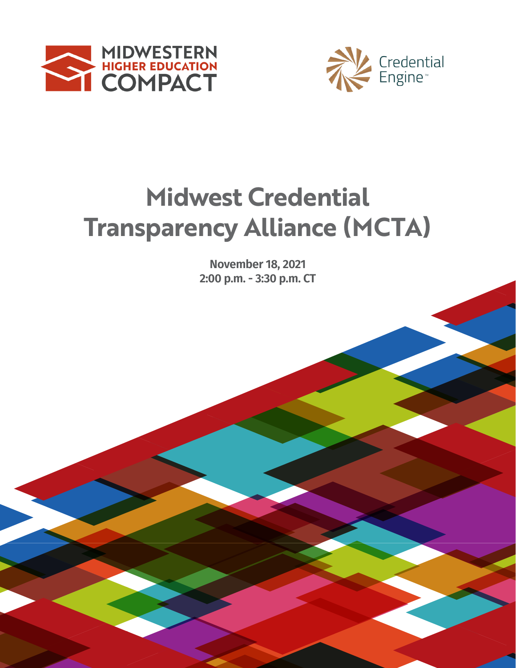



# **2019-2020 Transparency Alliance (MCTA) Midwest Credential**

**Rove**<br>2:00 p. **November 18, 2021 2:00 p.m. - 3:30 p.m. CT**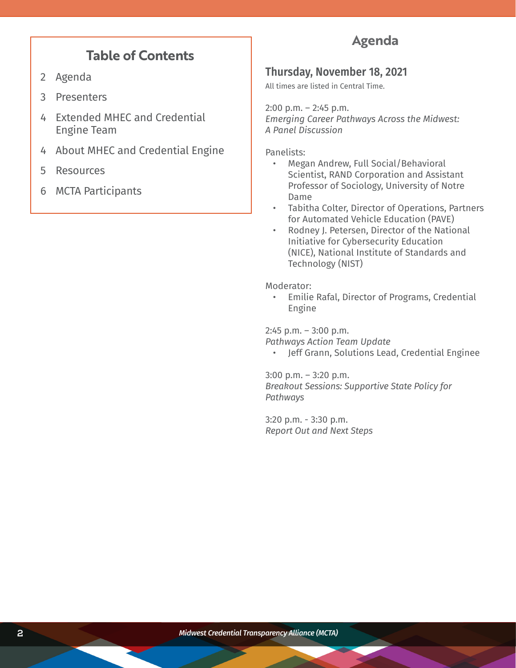# **Table of Contents**

- 2 Agenda
- 3 Presenters
- 4 Extended MHEC and Credential Engine Team
- 4 About MHEC and Credential Engine
- 5 Resources
- 6 MCTA Participants

# **Agenda**

### **Thursday, November 18, 2021**

All times are listed in Central Time.

2:00 p.m. – 2:45 p.m. *Emerging Career Pathways Across the Midwest: A Panel Discussion*

Panelists:

- Megan Andrew, Full Social/Behavioral Scientist, RAND Corporation and Assistant Professor of Sociology, University of Notre Dame
- Tabitha Colter, Director of Operations, Partners for Automated Vehicle Education (PAVE)
- Rodney J. Petersen, Director of the National Initiative for Cybersecurity Education (NICE), National Institute of Standards and Technology (NIST)

Moderator:

• Emilie Rafal, Director of Programs, Credential Engine

2:45 p.m. – 3:00 p.m.

*Pathways Action Team Update*

• Jeff Grann, Solutions Lead, Credential Enginee

3:00 p.m. – 3:20 p.m.

*Breakout Sessions: Supportive State Policy for Pathways*

3:20 p.m. - 3:30 p.m. *Report Out and Next Steps*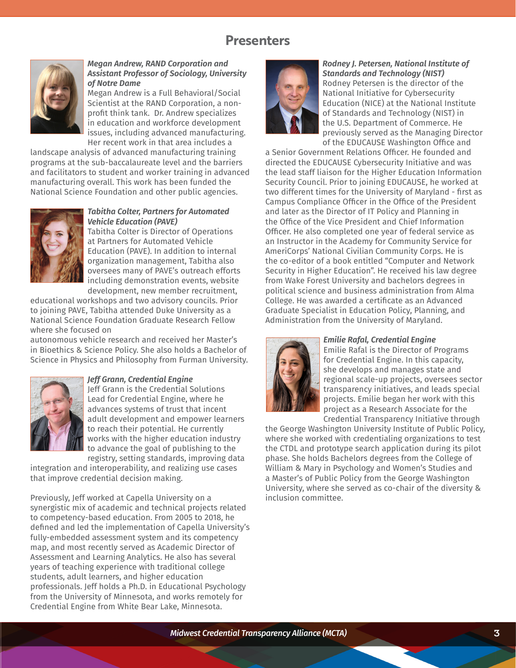# **Presenters**



#### *Megan Andrew, RAND Corporation and Assistant Professor of Sociology, University of Notre Dame*

Megan Andrew is a Full Behavioral/Social Scientist at the RAND Corporation, a nonprofit think tank. Dr. Andrew specializes in education and workforce development issues, including advanced manufacturing. Her recent work in that area includes a

landscape analysis of advanced manufacturing training programs at the sub-baccalaureate level and the barriers and facilitators to student and worker training in advanced manufacturing overall. This work has been funded the National Science Foundation and other public agencies.



#### *Tabitha Colter, Partners for Automated Vehicle Education (PAVE)*

Tabitha Colter is Director of Operations at Partners for Automated Vehicle Education (PAVE). In addition to internal organization management, Tabitha also oversees many of PAVE's outreach efforts including demonstration events, website development, new member recruitment,

educational workshops and two advisory councils. Prior to joining PAVE, Tabitha attended Duke University as a National Science Foundation Graduate Research Fellow where she focused on

autonomous vehicle research and received her Master's in Bioethics & Science Policy. She also holds a Bachelor of Science in Physics and Philosophy from Furman University.



### *Jeff Grann, Credential Engine*

Jeff Grann is the Credential Solutions Lead for Credential Engine, where he advances systems of trust that incent adult development and empower learners to reach their potential. He currently works with the higher education industry to advance the goal of publishing to the registry, setting standards, improving data

integration and interoperability, and realizing use cases that improve credential decision making.

Previously, Jeff worked at Capella University on a synergistic mix of academic and technical projects related to competency-based education. From 2005 to 2018, he defined and led the implementation of Capella University's fully-embedded assessment system and its competency map, and most recently served as Academic Director of Assessment and Learning Analytics. He also has several years of teaching experience with traditional college students, adult learners, and higher education professionals. Jeff holds a Ph.D. in Educational Psychology from the University of Minnesota, and works remotely for Credential Engine from White Bear Lake, Minnesota.



#### *Rodney J. Petersen, National Institute of Standards and Technology (NIST)* Rodney Petersen is the director of the National Initiative for Cybersecurity Education (NICE) at the National Institute of Standards and Technology (NIST) in the U.S. Department of Commerce. He previously served as the Managing Director of the EDUCAUSE Washington Office and

a Senior Government Relations Officer. He founded and directed the EDUCAUSE Cybersecurity Initiative and was the lead staff liaison for the Higher Education Information Security Council. Prior to joining EDUCAUSE, he worked at two different times for the University of Maryland - first as Campus Compliance Officer in the Office of the President and later as the Director of IT Policy and Planning in the Office of the Vice President and Chief Information Officer. He also completed one year of federal service as an Instructor in the Academy for Community Service for AmeriCorps' National Civilian Community Corps. He is the co-editor of a book entitled "Computer and Network Security in Higher Education". He received his law degree from Wake Forest University and bachelors degrees in political science and business administration from Alma College. He was awarded a certificate as an Advanced Graduate Specialist in Education Policy, Planning, and Administration from the University of Maryland.



#### *Emilie Rafal, Credential Engine*

Emilie Rafal is the Director of Programs for Credential Engine. In this capacity, she develops and manages state and regional scale-up projects, oversees sector transparency initiatives, and leads special projects. Emilie began her work with this project as a Research Associate for the Credential Transparency Initiative through

the George Washington University Institute of Public Policy, where she worked with credentialing organizations to test the CTDL and prototype search application during its pilot phase. She holds Bachelors degrees from the College of William & Mary in Psychology and Women's Studies and a Master's of Public Policy from the George Washington University, where she served as co-chair of the diversity & inclusion committee.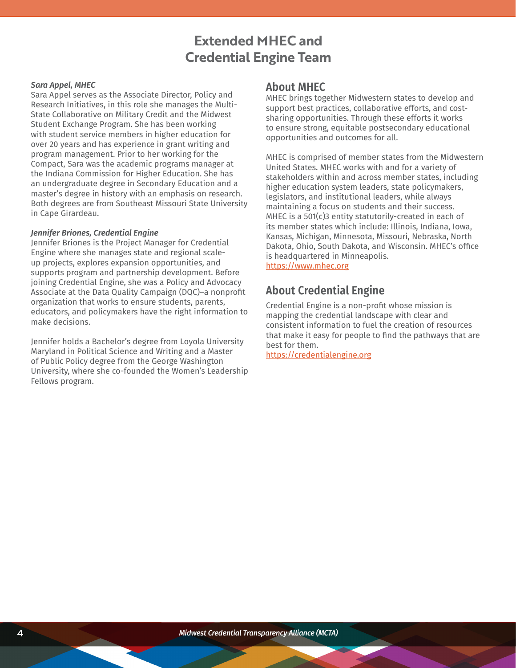# **Extended MHEC and Credential Engine Team**

#### *Sara Appel, MHEC*

Sara Appel serves as the Associate Director, Policy and Research Initiatives, in this role she manages the Multi-State Collaborative on Military Credit and the Midwest Student Exchange Program. She has been working with student service members in higher education for over 20 years and has experience in grant writing and program management. Prior to her working for the Compact, Sara was the academic programs manager at the Indiana Commission for Higher Education. She has an undergraduate degree in Secondary Education and a master's degree in history with an emphasis on research. Both degrees are from Southeast Missouri State University in Cape Girardeau.

#### *Jennifer Briones, Credential Engine*

Jennifer Briones is the Project Manager for Credential Engine where she manages state and regional scaleup projects, explores expansion opportunities, and supports program and partnership development. Before joining Credential Engine, she was a Policy and Advocacy Associate at the Data Quality Campaign (DQC)–a nonprofit organization that works to ensure students, parents, educators, and policymakers have the right information to make decisions.

Jennifer holds a Bachelor's degree from Loyola University Maryland in Political Science and Writing and a Master of Public Policy degree from the George Washington University, where she co-founded the Women's Leadership Fellows program.

### **About MHEC**

MHEC brings together Midwestern states to develop and support best practices, collaborative efforts, and costsharing opportunities. Through these efforts it works to ensure strong, equitable postsecondary educational opportunities and outcomes for all.

MHEC is comprised of member states from the Midwestern United States. MHEC works with and for a variety of stakeholders within and across member states, including higher education system leaders, state policymakers, legislators, and institutional leaders, while always maintaining a focus on students and their success. MHEC is a 501(c)3 entity statutorily-created in each of its member states which include: Illinois, Indiana, Iowa, Kansas, Michigan, Minnesota, Missouri, Nebraska, North Dakota, Ohio, South Dakota, and Wisconsin. MHEC's office is headquartered in Minneapolis. [https://www.mhec.org](https://www.mhec.org/)

### **About Credential Engine**

Credential Engine is a non-profit whose mission is mapping the credential landscape with clear and consistent information to fuel the creation of resources that make it easy for people to find the pathways that are best for them.

<https://credentialengine.org>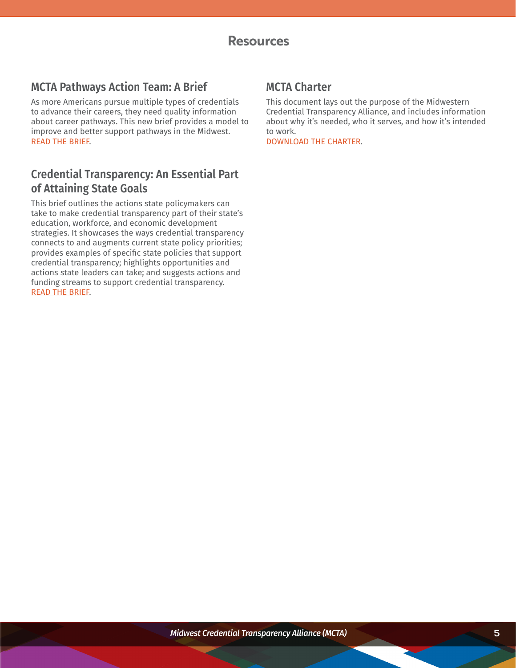### **Resources**

### **MCTA Pathways Action Team: A Brief**

As more Americans pursue multiple types of credentials to advance their careers, they need quality information about career pathways. This new brief provides a model to improve and better support pathways in the Midwest. [READ THE BRIEF.](https://bit.ly/2YZLQHm)

### **Credential Transparency: An Essential Part of Attaining State Goals**

This brief outlines the actions state policymakers can take to make credential transparency part of their state's education, workforce, and economic development strategies. It showcases the ways credential transparency connects to and augments current state policy priorities; provides examples of specific state policies that support credential transparency; highlights opportunities and actions state leaders can take; and suggests actions and funding streams to support credential transparency. [READ THE BRIEF.](http://credentialengine.org/wp-content/uploads/2021/10/Credential-Transparency-An-Essential-Part-of-Attaining-State-Goals.pdf )

### **MCTA Charter**

This document lays out the purpose of the Midwestern Credential Transparency Alliance, and includes information about why it's needed, who it serves, and how it's intended to work.

[DOWNLOAD THE CHARTER](https://www.mhec.org/resources/mcta-charter).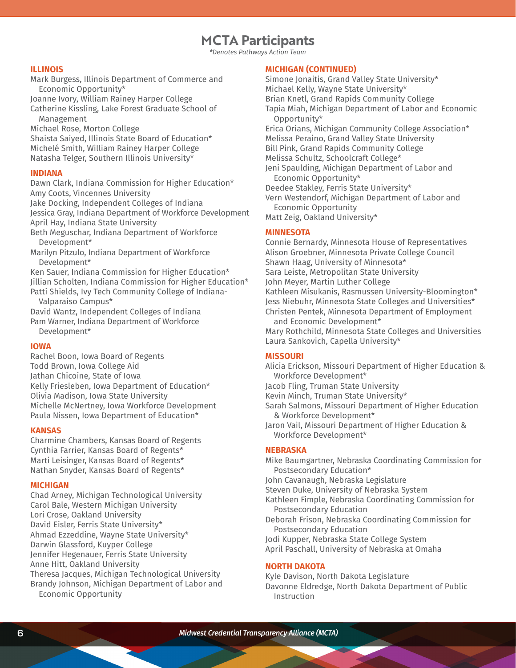### **MCTA Participants**

*\*Denotes Pathways Action Team*

#### **ILLINOIS**

Mark Burgess, Illinois Department of Commerce and Economic Opportunity\*

Joanne Ivory, William Rainey Harper College

Catherine Kissling, Lake Forest Graduate School of Management

Michael Rose, Morton College

Shaista Saiyed, Illinois State Board of Education\* Michelé Smith, William Rainey Harper College Natasha Telger, Southern Illinois University\*

#### **INDIANA**

Dawn Clark, Indiana Commission for Higher Education\* Amy Coots, Vincennes University

Jake Docking, Independent Colleges of Indiana

Jessica Gray, Indiana Department of Workforce Development April Hay, Indiana State University

Beth Meguschar, Indiana Department of Workforce Development\*

Marilyn Pitzulo, Indiana Department of Workforce Development\*

Ken Sauer, Indiana Commission for Higher Education\* Jillian Scholten, Indiana Commission for Higher Education\*

Patti Shields, Ivy Tech Community College of Indiana-Valparaiso Campus\*

David Wantz, Independent Colleges of Indiana

Pam Warner, Indiana Department of Workforce

Development\*

#### **IOWA**

Rachel Boon, Iowa Board of Regents Todd Brown, Iowa College Aid Jathan Chicoine, State of Iowa Kelly Friesleben, Iowa Department of Education\* Olivia Madison, Iowa State University Michelle McNertney, Iowa Workforce Development Paula Nissen, Iowa Department of Education\*

#### **KANSAS**

Charmine Chambers, Kansas Board of Regents Cynthia Farrier, Kansas Board of Regents\* Marti Leisinger, Kansas Board of Regents\* Nathan Snyder, Kansas Board of Regents\*

#### **MICHIGAN**

Chad Arney, Michigan Technological University Carol Bale, Western Michigan University Lori Crose, Oakland University David Eisler, Ferris State University\* Ahmad Ezzeddine, Wayne State University\* Darwin Glassford, Kuyper College Jennifer Hegenauer, Ferris State University Anne Hitt, Oakland University Theresa Jacques, Michigan Technological University Brandy Johnson, Michigan Department of Labor and Economic Opportunity

#### **MICHIGAN (CONTINUED)**

Simone Jonaitis, Grand Valley State University\* Michael Kelly, Wayne State University\* Brian Knetl, Grand Rapids Community College Tapia Miah, Michigan Department of Labor and Economic Opportunity\* Erica Orians, Michigan Community College Association\* Melissa Peraino, Grand Valley State University Bill Pink, Grand Rapids Community College Melissa Schultz, Schoolcraft College\* Jeni Spaulding, Michigan Department of Labor and Economic Opportunity\* Deedee Stakley, Ferris State University\* Vern Westendorf, Michigan Department of Labor and Economic Opportunity Matt Zeig, Oakland University\*

#### **MINNESOTA**

Connie Bernardy, Minnesota House of Representatives Alison Groebner, Minnesota Private College Council Shawn Haag, University of Minnesota\* Sara Leiste, Metropolitan State University John Meyer, Martin Luther College Kathleen Misukanis, Rasmussen University-Bloomington\* Jess Niebuhr, Minnesota State Colleges and Universities\* Christen Pentek, Minnesota Department of Employment and Economic Development\* Mary Rothchild, Minnesota State Colleges and Universities Laura Sankovich, Capella University\*

#### **MISSOURI**

Alicia Erickson, Missouri Department of Higher Education & Workforce Development\*

Jacob Fling, Truman State University

Kevin Minch, Truman State University\*

Sarah Salmons, Missouri Department of Higher Education & Workforce Development\*

Jaron Vail, Missouri Department of Higher Education & Workforce Development\*

#### **NEBRASKA**

Mike Baumgartner, Nebraska Coordinating Commission for Postsecondary Education\* John Cavanaugh, Nebraska Legislature Steven Duke, University of Nebraska System Kathleen Fimple, Nebraska Coordinating Commission for Postsecondary Education Deborah Frison, Nebraska Coordinating Commission for

Postsecondary Education Jodi Kupper, Nebraska State College System April Paschall, University of Nebraska at Omaha

#### **NORTH DAKOTA**

Kyle Davison, North Dakota Legislature Davonne Eldredge, North Dakota Department of Public Instruction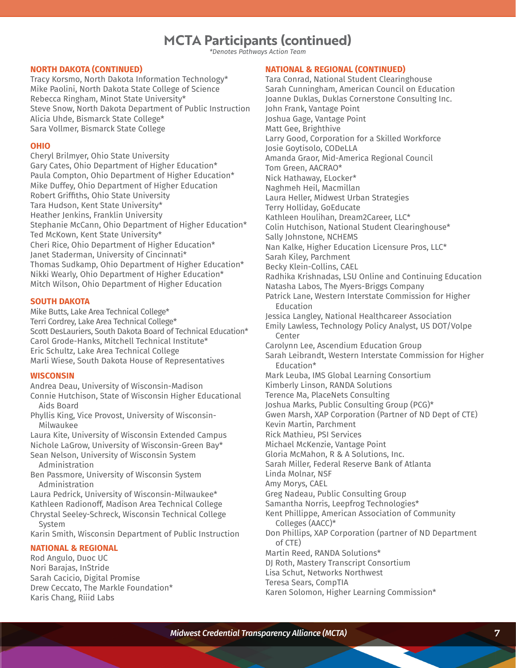# **MCTA Participants (continued)**

*\*Denotes Pathways Action Team*

#### **NORTH DAKOTA (CONTINUED)**

Tracy Korsmo, North Dakota Information Technology\* Mike Paolini, North Dakota State College of Science Rebecca Ringham, Minot State University\* Steve Snow, North Dakota Department of Public Instruction Alicia Uhde, Bismarck State College\* Sara Vollmer, Bismarck State College

#### **OHIO**

Cheryl Brilmyer, Ohio State University Gary Cates, Ohio Department of Higher Education\* Paula Compton, Ohio Department of Higher Education\* Mike Duffey, Ohio Department of Higher Education Robert Griffiths, Ohio State University Tara Hudson, Kent State University\* Heather Jenkins, Franklin University Stephanie McCann, Ohio Department of Higher Education\* Ted McKown, Kent State University\* Cheri Rice, Ohio Department of Higher Education\* Janet Staderman, University of Cincinnati\* Thomas Sudkamp, Ohio Department of Higher Education\* Nikki Wearly, Ohio Department of Higher Education\* Mitch Wilson, Ohio Department of Higher Education

#### **SOUTH DAKOTA**

Mike Butts, Lake Area Technical College\* Terri Cordrey, Lake Area Technical College\* Scott DesLauriers, South Dakota Board of Technical Education\* Carol Grode-Hanks, Mitchell Technical Institute\* Eric Schultz, Lake Area Technical College Marli Wiese, South Dakota House of Representatives

#### **WISCONSIN**

Andrea Deau, University of Wisconsin-Madison Connie Hutchison, State of Wisconsin Higher Educational Aids Board

Phyllis King, Vice Provost, University of Wisconsin-Milwaukee

Laura Kite, University of Wisconsin Extended Campus Nichole LaGrow, University of Wisconsin-Green Bay\* Sean Nelson, University of Wisconsin System Administration

Ben Passmore, University of Wisconsin System Administration

Laura Pedrick, University of Wisconsin-Milwaukee\* Kathleen Radionoff, Madison Area Technical College Chrystal Seeley-Schreck, Wisconsin Technical College System

Karin Smith, Wisconsin Department of Public Instruction

#### **NATIONAL & REGIONAL**

Rod Angulo, Duoc UC Nori Barajas, InStride Sarah Cacicio, Digital Promise Drew Ceccato, The Markle Foundation\* Karis Chang, Riiid Labs

#### **NATIONAL & REGIONAL (CONTINUED)**

Tara Conrad, National Student Clearinghouse Sarah Cunningham, American Council on Education Joanne Duklas, Duklas Cornerstone Consulting Inc. John Frank, Vantage Point Joshua Gage, Vantage Point Matt Gee, Brighthive Larry Good, Corporation for a Skilled Workforce Josie Goytisolo, CODeLLA Amanda Graor, Mid-America Regional Council Tom Green, AACRAO\* Nick Hathaway, ELocker\* Naghmeh Heil, Macmillan Laura Heller, Midwest Urban Strategies Terry Holliday, GoEducate Kathleen Houlihan, Dream2Career, LLC\* Colin Hutchison, National Student Clearinghouse\* Sally Johnstone, NCHEMS Nan Kalke, Higher Education Licensure Pros, LLC\* Sarah Kiley, Parchment Becky Klein-Collins, CAEL Radhika Krishnadas, LSU Online and Continuing Education Natasha Labos, The Myers-Briggs Company Patrick Lane, Western Interstate Commission for Higher Education Jessica Langley, National Healthcareer Association Emily Lawless, Technology Policy Analyst, US DOT/Volpe Center Carolynn Lee, Ascendium Education Group Sarah Leibrandt, Western Interstate Commission for Higher Education\* Mark Leuba, IMS Global Learning Consortium Kimberly Linson, RANDA Solutions Terence Ma, PlaceNets Consulting Joshua Marks, Public Consulting Group (PCG)\* Gwen Marsh, XAP Corporation (Partner of ND Dept of CTE) Kevin Martin, Parchment Rick Mathieu, PSI Services Michael McKenzie, Vantage Point Gloria McMahon, R & A Solutions, Inc. Sarah Miller, Federal Reserve Bank of Atlanta Linda Molnar, NSF Amy Morys, CAEL Greg Nadeau, Public Consulting Group Samantha Norris, Leepfrog Technologies\* Kent Phillippe, American Association of Community Colleges (AACC)\* Don Phillips, XAP Corporation (partner of ND Department of CTE) Martin Reed, RANDA Solutions\* DJ Roth, Mastery Transcript Consortium Lisa Schut, Networks Northwest

Teresa Sears, CompTIA

Karen Solomon, Higher Learning Commission\*